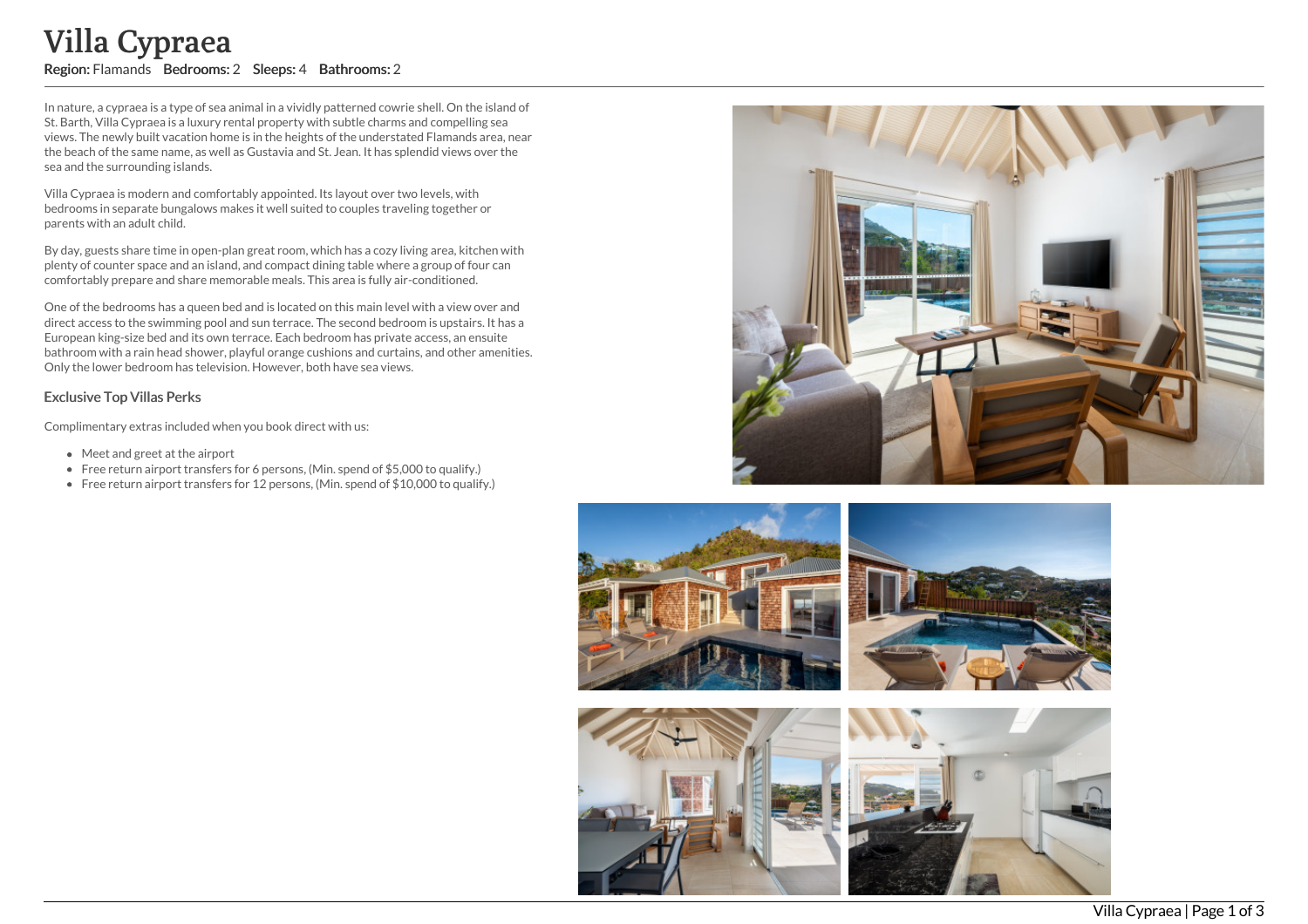## Villa Cypraea

## Region: Flamands Bedrooms: 2 Sleeps: 4 Bathrooms: 2

In nature, a cypraea is a type of sea animal in a vividly patterned cowrie shell. On the island of St. Barth, Villa Cypraea is a luxury rental property with subtle charms and compelling sea views. The newly built vacation home is in the heights of the understated Flamands area, near the beach of the same name, as well as Gustavia and St. Jean. It has splendid views over the sea and the surrounding islands.

Villa Cypraea is modern and comfortably appointed. Its layout over two levels, with bedrooms in separate bungalows makes it well suited to couples traveling together or parents with an adult child.

By day, guests share time in open-plan great room, which has a cozy living area, kitchen with plenty of counter space and an island, and compact dining table where a group of four can comfortably prepare and share memorable meals. This area is fully air-conditioned.

One of the bedrooms has a queen bed and is located on this main level with a view over and direct access to the swimming pool and sun terrace. The second bedroom is upstairs. It has a European king-size bed and its own terrace. Each bedroom has private access, an ensuite bathroom with a rain head shower, playful orange cushions and curtains, and other amenities. Only the lower bedroom has television. However, both have sea views.

## Exclusive Top Villas Perks

Complimentary extras included when you book direct with us:

- Meet and greet at the airport
- Free return airport transfers for 6 persons, (Min. spend of \$5,000 to qualify.)
- Free return airport transfers for 12 persons, (Min. spend of \$10,000 to qualify.)



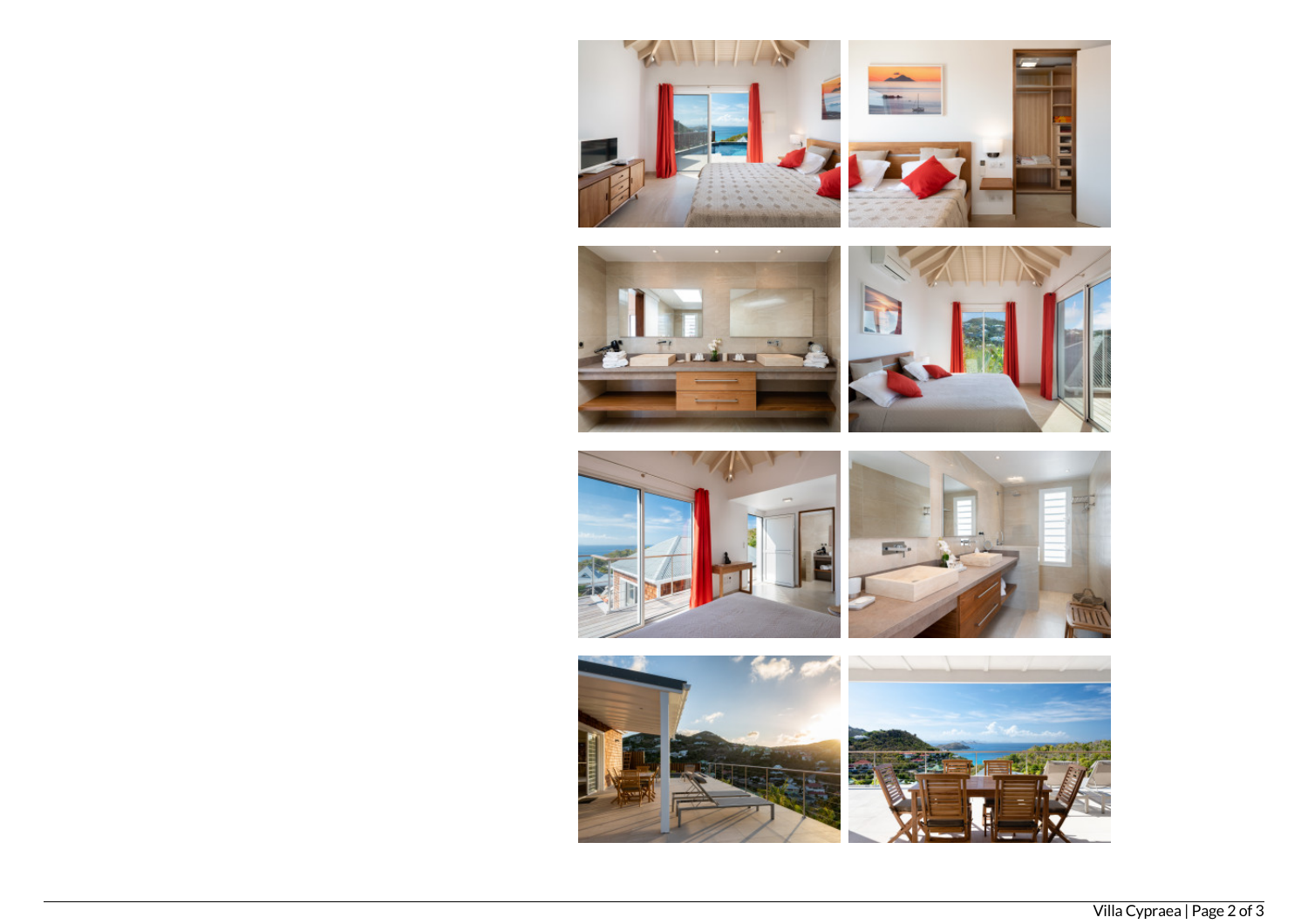